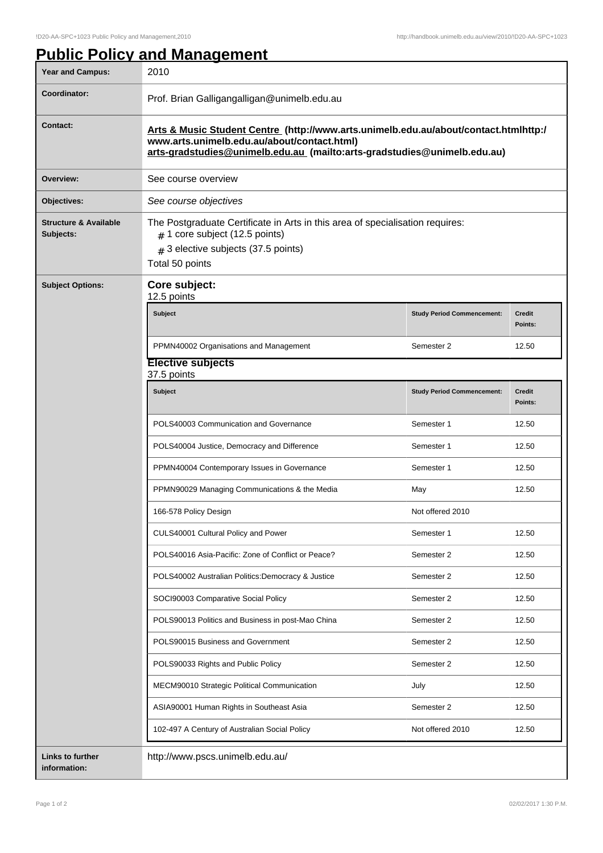| <b>Year and Campus:</b>                       | 2010                                                                                                                                                                                                            |                                   |                          |
|-----------------------------------------------|-----------------------------------------------------------------------------------------------------------------------------------------------------------------------------------------------------------------|-----------------------------------|--------------------------|
| Coordinator:                                  | Prof. Brian Galligangalligan@unimelb.edu.au                                                                                                                                                                     |                                   |                          |
| <b>Contact:</b>                               | Arts & Music Student Centre (http://www.arts.unimelb.edu.au/about/contact.htmlhttp:/<br>www.arts.unimelb.edu.au/about/contact.html)<br>arts-gradstudies@unimelb.edu.au (mailto:arts-gradstudies@unimelb.edu.au) |                                   |                          |
| Overview:                                     | See course overview                                                                                                                                                                                             |                                   |                          |
| Objectives:                                   | See course objectives                                                                                                                                                                                           |                                   |                          |
| <b>Structure &amp; Available</b><br>Subjects: | The Postgraduate Certificate in Arts in this area of specialisation requires:<br>$#$ 1 core subject (12.5 points)<br>$#$ 3 elective subjects (37.5 points)<br>Total 50 points                                   |                                   |                          |
| <b>Subject Options:</b>                       | Core subject:<br>12.5 points                                                                                                                                                                                    |                                   |                          |
|                                               | Subject                                                                                                                                                                                                         | <b>Study Period Commencement:</b> | <b>Credit</b><br>Points: |
|                                               | PPMN40002 Organisations and Management                                                                                                                                                                          | Semester 2                        | 12.50                    |
|                                               | <b>Elective subjects</b><br>37.5 points                                                                                                                                                                         |                                   |                          |
|                                               | Subject                                                                                                                                                                                                         | <b>Study Period Commencement:</b> | <b>Credit</b><br>Points: |
|                                               | POLS40003 Communication and Governance                                                                                                                                                                          | Semester 1                        | 12.50                    |
|                                               | POLS40004 Justice, Democracy and Difference                                                                                                                                                                     | Semester 1                        | 12.50                    |
|                                               | PPMN40004 Contemporary Issues in Governance                                                                                                                                                                     | Semester 1                        | 12.50                    |
|                                               | PPMN90029 Managing Communications & the Media                                                                                                                                                                   | May                               | 12.50                    |
|                                               | 166-578 Policy Design                                                                                                                                                                                           | Not offered 2010                  |                          |
|                                               | CULS40001 Cultural Policy and Power                                                                                                                                                                             | Semester 1                        | 12.50                    |
|                                               | POLS40016 Asia-Pacific: Zone of Conflict or Peace?                                                                                                                                                              | Semester 2                        | 12.50                    |
|                                               | POLS40002 Australian Politics: Democracy & Justice                                                                                                                                                              | Semester 2                        | 12.50                    |
|                                               | SOCI90003 Comparative Social Policy                                                                                                                                                                             | Semester 2                        | 12.50                    |
|                                               | POLS90013 Politics and Business in post-Mao China                                                                                                                                                               | Semester 2                        | 12.50                    |
|                                               | POLS90015 Business and Government                                                                                                                                                                               | Semester 2                        | 12.50                    |
|                                               | POLS90033 Rights and Public Policy                                                                                                                                                                              | Semester 2                        | 12.50                    |
|                                               | MECM90010 Strategic Political Communication                                                                                                                                                                     | July                              | 12.50                    |
|                                               | ASIA90001 Human Rights in Southeast Asia                                                                                                                                                                        | Semester 2                        | 12.50                    |
|                                               | 102-497 A Century of Australian Social Policy                                                                                                                                                                   | Not offered 2010                  | 12.50                    |